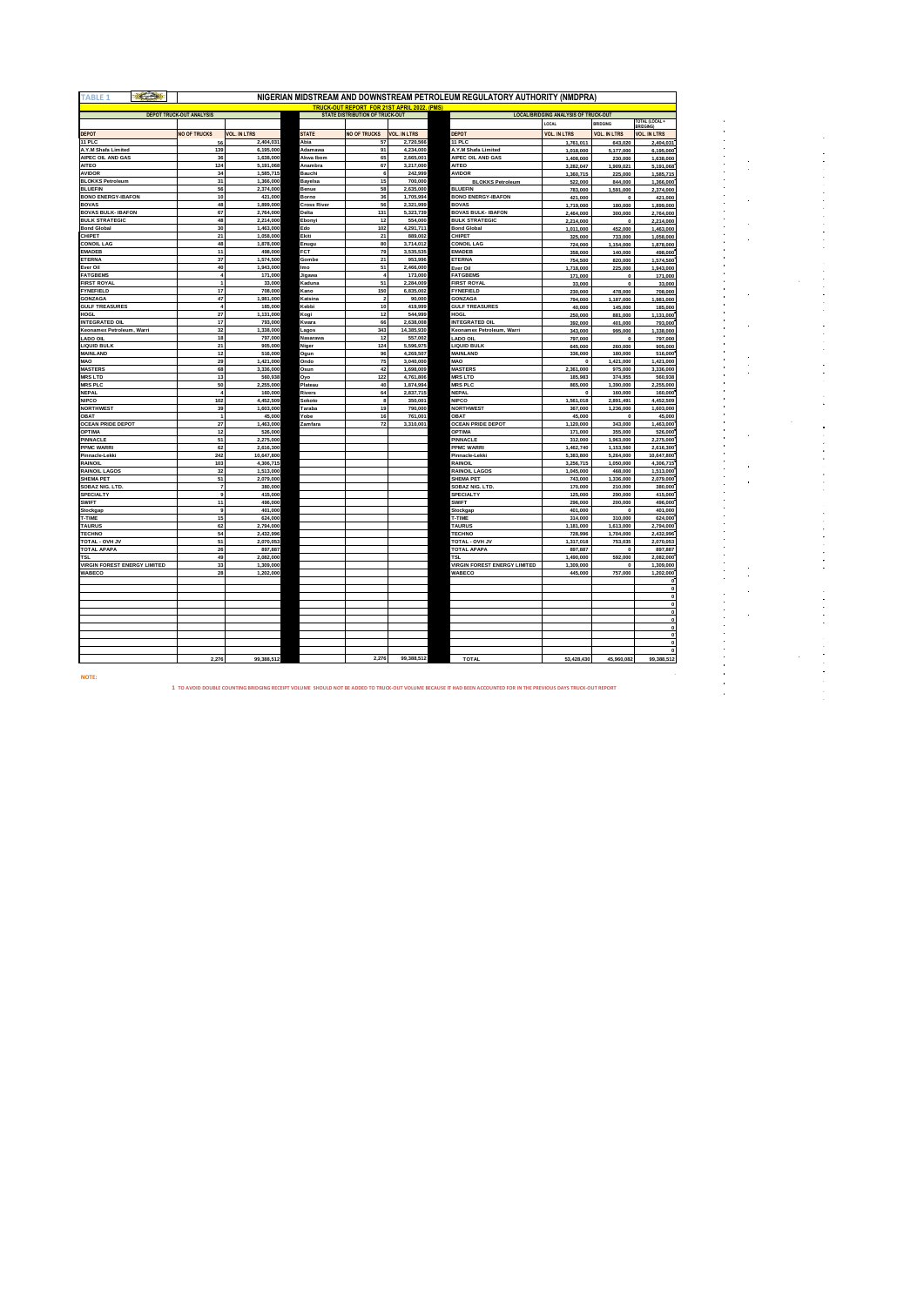| <b>TABLE 1</b>                                     | $\epsilon$ |                                 |                         |                      |                                             |                        | NIGERIAN MIDSTREAM AND DOWNSTREAM PETROLEUM REGULATORY AUTHORITY (NMDPRA) |                                                             |                           |                        |
|----------------------------------------------------|------------|---------------------------------|-------------------------|----------------------|---------------------------------------------|------------------------|---------------------------------------------------------------------------|-------------------------------------------------------------|---------------------------|------------------------|
|                                                    |            |                                 |                         |                      | TRUCK-OUT REPORT FOR 21ST APRIL 2022. (PMS) |                        |                                                                           |                                                             |                           |                        |
|                                                    |            | <b>DEPOT TRUCK-OUT ANALYSIS</b> |                         |                      | <b>STATE DISTRIBUTION OF TRUCK-OUT</b>      |                        |                                                                           | <b>LOCAL/BRIDGING ANALYSIS OF TRUCK-OUT</b><br><b>LOCAL</b> | <b>BRIDGING</b>           | <b>TOTAL (LOCAL·</b>   |
|                                                    |            |                                 |                         |                      |                                             |                        |                                                                           |                                                             |                           |                        |
| <b>DEPOT</b><br>11 PLC                             |            | <b>NO OF TRUCKS</b>             | <b>VOL. IN LTRS</b>     | <b>STATE</b><br>Abia | <b>NO OF TRUCKS</b>                         | <b>VOL. IN LTRS</b>    | <b>DEPOT</b><br>11 PLC                                                    | <b>VOL. IN LTRS</b>                                         | <b>VOL. IN LTRS</b>       | <b>VOL. IN LTRS</b>    |
| A.Y.M Shafa Limited                                |            | 56<br>139                       | 2,404,031<br>6,195,000  | Adamawa              | 57<br>91                                    | 2,720,566<br>4,234,000 | A.Y.M Shafa Limited                                                       | 1,761,011                                                   | 643,020                   | 2,404,031              |
| AIPEC OIL AND GAS                                  |            | 36                              | 1,638,000               | Akwa Ibom            | 65                                          | 2,665,001              | AIPEC OIL AND GAS                                                         | 1,018,000<br>1,408,000                                      | 5,177,000<br>230,000      | 6,195,000<br>1,638,000 |
| AITEO                                              |            | 124                             | 5,191,068               | Anambra              | 67                                          | 3,217,000              | <b>AITEO</b>                                                              | 3,282,047                                                   | 1,909,021                 | 5,191,068              |
| <b>AVIDOR</b>                                      |            | 34                              | 1,585,715               | Bauchi               | 6                                           | 242.999                | <b>AVIDOR</b>                                                             | 1,360,715                                                   | 225,000                   | 1,585,715              |
| <b>BLOKKS Petroleum</b>                            |            | 31                              | 1,366,000               | Bayelsa              | 15                                          | 700,000                | <b>BLOKKS Petroleum</b>                                                   | 522,000                                                     | 844,000                   | 1,366,000              |
| <b>BLUEFIN</b>                                     |            | 56                              | 2,374,000               | Benue                | 58                                          | 2,635,000              | <b>BLUEFIN</b>                                                            | 783,000                                                     | 1,591,000                 | 2,374,000              |
| <b>BONO ENERGY-IBAFON</b>                          |            | 10                              | 421,000                 | Borno                | 36                                          | 1,705,994              | <b>BONO ENERGY-IBAFON</b>                                                 | 421,000                                                     | $\Omega$                  | 421,000                |
| <b>BOVAS</b>                                       |            | 48                              | 1,899,000               | <b>Cross River</b>   | 56                                          | 2,321,999              | <b>BOVAS</b>                                                              | 1,719,000                                                   | 180,000                   | 1,899,000              |
| <b>BOVAS BULK- IBAFON</b><br><b>BULK STRATEGIC</b> |            | 67<br>48                        | 2.764.000<br>2,214,000  | Delta<br>Ebonyi      | 131<br>12                                   | 5.323.739<br>554,000   | <b>BOVAS BULK- IBAFON</b><br><b>BULK STRATEGIC</b>                        | 2,464,000                                                   | 300,000<br>$\overline{0}$ | 2,764,000              |
| <b>Bond Global</b>                                 |            | 30                              | 1,463,000               | Edo                  | 102                                         | 4,291,711              | <b>Bond Global</b>                                                        | 2,214,000<br>1,011,000                                      | 452,000                   | 2,214,000<br>1,463,000 |
| CHIPFT                                             |            | 21                              | 1,058,000               | Ekiti                | 21                                          | 889,002                | CHIPET                                                                    | 325,000                                                     | 733,000                   | 1,058,000              |
| <b>CONOIL LAG</b>                                  |            | 48                              | 1,878,000               | Enugu                | 80                                          | 3.714.012              | <b>CONOIL LAG</b>                                                         | 724,000                                                     | 1,154,000                 | 1,878,000              |
| <b>EMADEB</b>                                      |            | 11                              | 498,000                 | <b>FCT</b>           | 79                                          | 3,535,535              | <b>EMADEB</b>                                                             | 358,000                                                     | 140,000                   | 498,000                |
| <b>ETERNA</b>                                      |            | 37                              | 1,574,500               | Gombe                | 21                                          | 953,996                | ETERNA                                                                    | 754,500                                                     | 820,000                   | 1,574,500              |
| Ever Oil                                           |            | 40                              | 1.943.000               | lmo                  | 51                                          | 2,466,000              | Ever Oil                                                                  | 1,718,000                                                   | 225,000                   | 1.943.000              |
| FATGBEMS                                           |            | $\boldsymbol{4}$                | 171,000                 | Jigawa               | $\overline{a}$                              | 173,000                | <b>FATGBEMS</b>                                                           | 171,000                                                     | $\Omega$                  | 171,000                |
| <b>FIRST ROYAL</b>                                 |            | $\mathbf{1}$                    | 33,000                  | Kaduna               | 51                                          | 2,284,009              | <b>FIRST ROYAL</b>                                                        | 33,000                                                      | $\bullet$                 | 33,000                 |
| FYNEFIELD<br>GONZAGA                               |            | 17<br>47                        | 708,000<br>1,981,000    | Kano<br>Katsina      | 150<br>$\overline{2}$                       | 6,835,002<br>90.000    | <b>FYNEFIELD</b><br>GONZAGA                                               | 230,000<br>794,000                                          | 478,000<br>1,187,000      | 708,000<br>1,981,000   |
| <b>GULF TREASURES</b>                              |            | $\ddot{a}$                      | 185,000                 | Kebbi                | 10                                          | 419,999                | <b>GULF TREASURES</b>                                                     | 40,000                                                      | 145,000                   | 185,000                |
| HOGL                                               |            | 27                              | 1,131,000               | Kogi                 | 12                                          | 544,999                | HOGL                                                                      | 250,000                                                     | 881,000                   | 1,131,000              |
| INTEGRATED OIL                                     |            | 17                              | 793,000                 | Kwara                | 66                                          | 2,638,008              | INTEGRATED OIL                                                            | 392,000                                                     | 401,000                   | 793,000                |
| Keonamex Petroleum, Warri                          |            | 32                              | 1,338,000               | Lagos                | 343                                         | 14,385,930             | Keonamex Petroleum, Warri                                                 | 343,000                                                     | 995,000                   | 1,338,000              |
| <b>ADO OIL</b>                                     |            | 18                              | 797,000                 | Nasarawa             | 12                                          | 557,002                | <b>LADO OIL</b>                                                           | 797,000                                                     | $\mathbf{0}$              | 797,000                |
| LIQUID BULK                                        |            | 21                              | 905,000                 | Niger                | 124                                         | 5,596,975              | <b>LIQUID BULK</b>                                                        | 645,000                                                     | 260,000                   | 905,000                |
| <b>MAINLAND</b>                                    |            | $12$                            | 516,000                 | Ogun                 | 96                                          | 4,269,507              | <b>MAINLAND</b>                                                           | 336,000                                                     | 180,000                   | 516,000                |
| MAO                                                |            | 29                              | 1,421,000               | Ondo                 | 75                                          | 3,040,000              | MAO                                                                       | $\theta$                                                    | 1,421,000                 | 1,421,000              |
| <b>MASTERS</b><br><b>MRSLTD</b>                    |            | 68<br>13                        | 3,336,000<br>560,938    | Osun                 | 42<br>122                                   | 1,698,009<br>4,761,806 | <b>MASTERS</b><br><b>MRSLTD</b>                                           | 2,361,000<br>185,983                                        | 975,000<br>374,955        | 3,336,000<br>560,938   |
| <b>MRS PLC</b>                                     |            | 50                              | 2,255,000               | Oyo<br>Plateau       | 40                                          | 1,874,994              | <b>MRS PLC</b>                                                            |                                                             |                           |                        |
| NEPAL                                              |            | $\overline{4}$                  | 160,000                 | Rivers               | 64                                          | 2,837,715              | <b>NEPAL</b>                                                              | 865,000<br>$\mathbf{0}$                                     | 1,390,000<br>160,000      | 2,255,000<br>160,000   |
| NIPCO                                              |            | 102                             | 4,452,509               | Sokoto               | 8                                           | 350,001                | <b>NIPCO</b>                                                              | 1,561,018                                                   | 2,891,491                 | 4,452,509              |
| <b>NORTHWEST</b>                                   |            | 39                              | 1,603,000               | Taraba               | 19                                          | 790.000                | <b>NORTHWEST</b>                                                          | 367,000                                                     | 1,236,000                 | 1,603,000              |
| <b>OBAT</b>                                        |            | $\overline{1}$                  | 45,000                  | Yobe                 | 16                                          | 761.001                | OBAT                                                                      | 45.000                                                      | $\mathbf 0$               | 45.00                  |
| <b>OCEAN PRIDE DEPOT</b>                           |            | 27                              | 1.463.000               | Zamfara              | 72                                          | 3.310.001              | <b>OCEAN PRIDE DEPOT</b>                                                  | 1,120,000                                                   | 343,000                   | 1,463,000              |
| OPTIMA                                             |            | $12$                            | 526,000                 |                      |                                             |                        | OPTIMA                                                                    | 171,000                                                     | 355,000                   | 526,000                |
| PINNACLE<br><b>PPMC WARRI</b>                      |            | 51<br>62                        | 2,275,000               |                      |                                             |                        | PINNACLE<br>PPMC WARRI                                                    | 312,000                                                     | 1,963,000                 | 2,275,00               |
| Pinnacle-Lekki                                     |            | 242                             | 2,616,300<br>10,647,800 |                      |                                             |                        | Pinnacle-Lekki                                                            | 1,462,740                                                   | 1,153,560                 | 2.616.30               |
| RAINOIL                                            |            | 103                             | 4,306,715               |                      |                                             |                        | RAINOIL                                                                   | 5,383,800<br>3,256,715                                      | 5,264,000<br>1,050,000    | 10,647,80<br>4,306,71  |
| <b>RAINOIL LAGOS</b>                               |            | 32                              | 1,513,000               |                      |                                             |                        | <b>RAINOIL LAGOS</b>                                                      | 1,045,000                                                   | 468,000                   | 1,513,00               |
| <b>SHEMA PET</b>                                   |            | 51                              | 2.079.000               |                      |                                             |                        | SHEMA PET                                                                 | 743,000                                                     | 1,336,000                 | 2,079,000              |
| SOBAZ NIG. LTD.                                    |            | $\overline{7}$                  | 380,000                 |                      |                                             |                        | <b>SOBAZ NIG. LTD</b>                                                     | 170,000                                                     | 210,000                   | 380,00                 |
| SPECIALTY                                          |            | $\mathbf{a}$                    | 415,000                 |                      |                                             |                        | SPECIALTY                                                                 | 125,000                                                     | 290,000                   | 415,000                |
| <b>SWIFT</b>                                       |            | 11                              | 496,000                 |                      |                                             |                        | <b>SWIFT</b>                                                              | 296,000                                                     | 200,000                   | 496,00                 |
| Stockgap                                           |            | $\mathbf{a}$                    | 401,000                 |                      |                                             |                        | Stockgap                                                                  | 401.000                                                     | $\Omega$                  | 401,000                |
| T-TIME                                             |            | 15                              | 624,000                 |                      |                                             |                        | T-TIME                                                                    | 314,000                                                     | 310,000                   | 624.00                 |
| <b>TAURUS</b><br><b>TECHNO</b>                     |            | 62<br>54                        | 2,794,000<br>2,432,996  |                      |                                             |                        | <b>TAURUS</b><br><b>TECHNO</b>                                            | 1.181.000<br>728,996                                        | 1,613,000<br>1,704,000    | 2,794,000<br>2,432,99  |
| TOTAL - OVH JV                                     |            | 51                              | 2,070,053               |                      |                                             |                        | TOTAL - OVH JV                                                            | 1,317,018                                                   | 753,035                   | 2,070,053              |
| <b>TOTAL APAPA</b>                                 |            | 26                              | 897,887                 |                      |                                             |                        | <b>TOTAL APAPA</b>                                                        | 897,887                                                     | $\Omega$                  | 897,887                |
| TSL                                                |            | 49                              | 2,082,000               |                      |                                             |                        | <b>TSL</b>                                                                | 1,490,000                                                   | 592,000                   | 2,082,000              |
| <b>VIRGIN FOREST ENERGY LIMITED</b>                |            | 33                              | 1,309,000               |                      |                                             |                        | <b>VIRGIN FOREST ENERGY LIMITED</b>                                       | 1,309,000                                                   | $\Omega$                  | 1,309,000              |
| WABECO                                             |            | 28                              | 1,202,000               |                      |                                             |                        | WABECO                                                                    | 445,000                                                     | 757,000                   | 1,202,000              |
|                                                    |            |                                 |                         |                      |                                             |                        |                                                                           |                                                             |                           |                        |
|                                                    |            |                                 |                         |                      |                                             |                        |                                                                           |                                                             |                           |                        |
|                                                    |            |                                 |                         |                      |                                             |                        |                                                                           |                                                             |                           |                        |
|                                                    |            |                                 |                         |                      |                                             |                        |                                                                           |                                                             |                           |                        |
|                                                    |            |                                 |                         |                      |                                             |                        |                                                                           |                                                             |                           |                        |
|                                                    |            |                                 |                         |                      |                                             |                        |                                                                           |                                                             |                           |                        |
|                                                    |            |                                 |                         |                      |                                             |                        |                                                                           |                                                             |                           |                        |
|                                                    |            |                                 |                         |                      |                                             |                        |                                                                           |                                                             |                           | $\Omega$               |
|                                                    |            |                                 |                         |                      |                                             |                        |                                                                           |                                                             |                           |                        |
|                                                    |            | 2,276                           | 99,388,512              |                      | 2,276                                       | 99.388.512             | <b>TOTAL</b>                                                              | 53,428,430                                                  | 45,960,082                | 99,388,512             |
|                                                    |            |                                 |                         |                      |                                             |                        |                                                                           |                                                             |                           |                        |
| <b>NOTE:</b>                                       |            |                                 |                         |                      |                                             |                        |                                                                           |                                                             |                           |                        |

医单位性骨折 医单位 医阿拉伯氏病

**D NOT BE ADDED TO TRUCK-OUT VOLUME BECAUSE IT HAD BEEN ACCOUNTED FOR IN THE PREVIOUS DAYS TRUCK-OUT REPORT**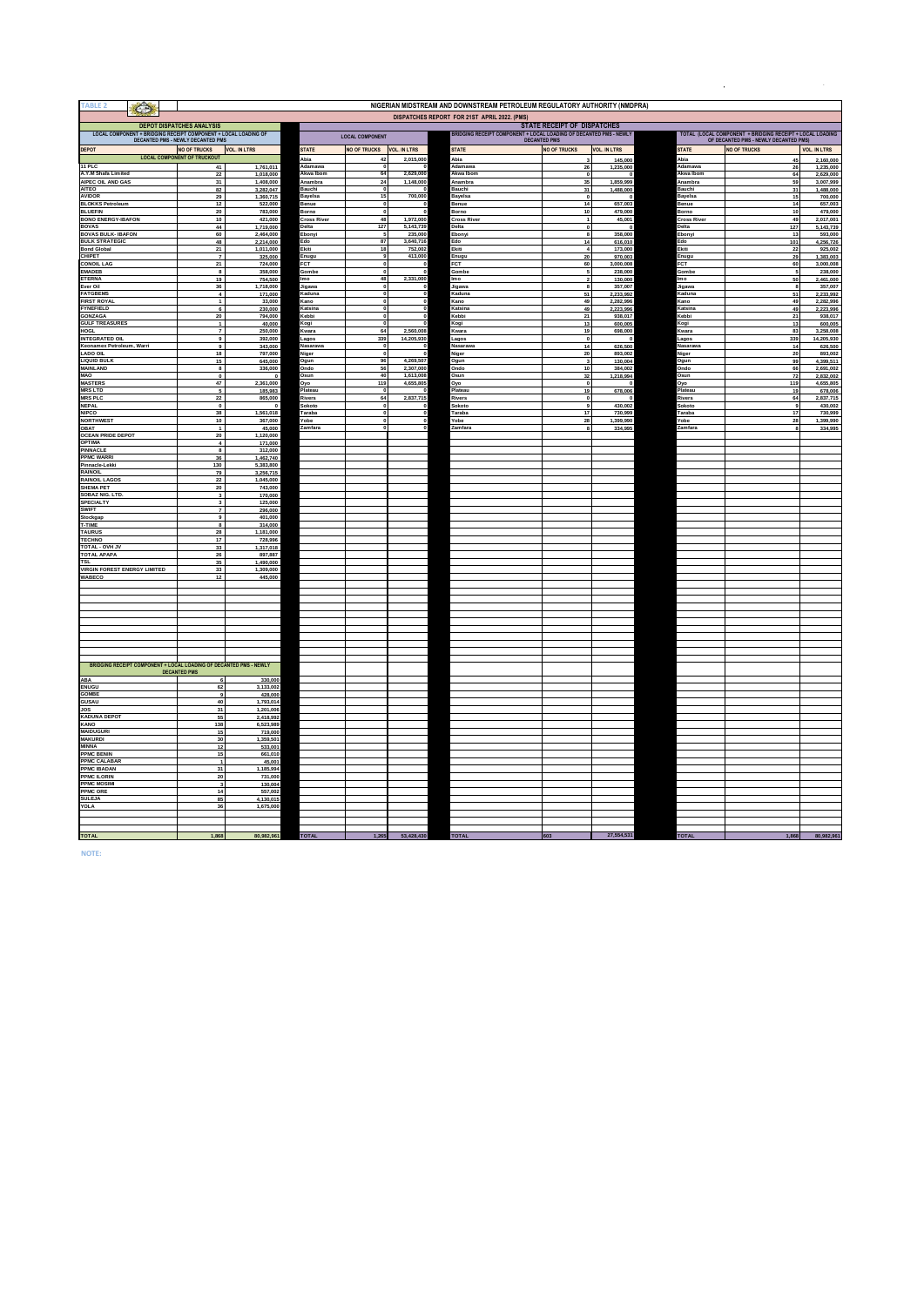| TABLE <sub>2</sub><br>$\bigcirc$                                   |                                                   |                                    |                             |                              |                         | NIGERIAN MIDSTREAM AND DOWNSTREAM PETROLEUM REGULATORY AUTHORITY (NMDPRA) |                                                                                                         |                        |                            |                                                              |                         |
|--------------------------------------------------------------------|---------------------------------------------------|------------------------------------|-----------------------------|------------------------------|-------------------------|---------------------------------------------------------------------------|---------------------------------------------------------------------------------------------------------|------------------------|----------------------------|--------------------------------------------------------------|-------------------------|
|                                                                    |                                                   |                                    |                             |                              |                         | DISPATCHES REPORT FOR 21ST APRIL 2022. (PMS)                              |                                                                                                         |                        |                            |                                                              |                         |
| LOCAL COMPONENT + BRIDGING RECEIPT COMPONENT + LOCAL LOADING OF    | <b>DEPOT DISPATCHES ANALYSIS</b>                  |                                    |                             | <b>LOCAL COMPONENT</b>       |                         |                                                                           | <b>STATE RECEIPT OF DISPATCHES</b><br>RIDGING RECEIPT COMPONENT + LOCAL LOADING OF DECANTED PMS - NEWLY |                        |                            | TOTAL (LOCAL COMPONENT + BRIDGING RECEIPT + LOCAL LOADING    |                         |
| DEPOT                                                              | DECANTED PMS - NEWLY DECANTED PMS<br>NO OF TRUCKS | <b>VOL. IN LTRS</b>                | <b>STATE</b>                | NO OF TRUCKS VOL. IN LTRS    |                         | <b>STATE</b>                                                              | <b>DECANTED PMS</b><br><b>NO OF TRUCKS</b>                                                              | <b>VOL. IN LTRS</b>    | <b>STATE</b>               | OF DECANTED PMS - NEWLY DECANTED PMS)<br><b>NO OF TRUCKS</b> | <b>VOL. IN LTRS</b>     |
| 11P C                                                              | <b>LOCAL COMPONENT OF TRUCKOUT</b><br>41          | 1,761,011                          | Abia<br>Adamawa             | 42<br>O                      | 2,015,000               | Abia<br>Adamawa                                                           |                                                                                                         | 145,000<br>1,235,000   | Abia<br>Adamawa            | 45<br>26                                                     | 2,160,000<br>1,235,000  |
| A.Y.M Shafa Limited                                                | 22                                                | 1,018,000                          | Akwa Ibom                   | 64                           | 2,629,000               | Akwa Ibom                                                                 | 26                                                                                                      |                        | Akwa Ibom                  | 64                                                           | 2,629,000               |
| AIPEC OIL AND GAS<br>AITEO                                         | 31<br>82                                          | 1,408,000<br>3,282,047             | Anambra<br>Bauchi           | 24<br>,                      | 1,148,000               | Anambra<br>Bauchi                                                         | 35<br>31                                                                                                | 1,859,999<br>1,488,000 | Anambra<br>Bauchi          | 59<br>31                                                     | 3,007,999<br>1,488,000  |
| <b>AVIDOR</b><br><b>BLOKKS Petroleum</b>                           | 29<br>$12$                                        | 1,360,715<br>522,000               | Bayelsa<br>Benue            | 15<br>$\bf{0}$               | 700,000                 | Bayelsa<br><b>Benue</b>                                                   | $\mathbf{0}$<br>14                                                                                      | 657,003                | Bayelsa<br>Benue           | 15<br>14                                                     | 700,000<br>657,003      |
| <b>BLUEFIN</b><br><b>BONO ENERGY-IBAFON</b>                        | 20<br>10                                          | 783,000<br>421,000                 | Borno<br><b>Cross River</b> | $\overline{0}$<br>48         | 1.972.000               | Borno<br><b>Cross Rive</b>                                                | 10 <sup>10</sup><br>$\mathbf{1}$                                                                        | 479,000                | Borno<br><b>Cross Rive</b> | 10 <sup>1</sup><br>49                                        | 479,000                 |
| <b>BOVAS</b>                                                       | 44                                                | 1,719,000                          | Delta                       | 127                          | 5,143,739               | Delta                                                                     | $\mathbf{0}$                                                                                            | 45,001                 | Delta                      | 127                                                          | 2,017,001<br>5,143,739  |
| <b>BOVAS BULK- IBAFON</b><br><b>BULK STRATEGIC</b>                 | 60<br>48                                          | 2.464.000<br>2,214,000             | Ebonyi<br>Edo               | 5<br>87                      | 235,000<br>3,640,716    | Ebonyi<br>Edo                                                             | 8<br>14                                                                                                 | 358,000<br>616,010     | Ebonyi<br>Edo              | 13<br>101                                                    | 593,000<br>4,256,726    |
| <b>Bond Global</b><br>CHIPET                                       | 21<br>$\overline{7}$                              | 1,011,000<br>325,000               | Ekiti<br>Enugu              | 18<br>٥.                     | 752,002<br>413,000      | Ekiti<br>:nugu                                                            | $\overline{4}$<br>20                                                                                    | 173,000<br>970,003     | Ekiti<br>Enugu             | 22<br>29                                                     | 925,002<br>1,383,003    |
| CONOIL LAG<br><b>EMADEB</b>                                        | 21<br>$\mathbf{a}$                                | 724,000<br>358,000                 | <b>FCT</b><br>Gombe         | $\mathbf{0}$<br>$\mathbf{a}$ |                         | FCT<br>Gombe                                                              | 60                                                                                                      | 3,000,008<br>238,000   | FCT<br>Gombe               | 60<br>5                                                      | 3,000,008<br>238,000    |
| <b>ETERNA</b><br>Ever Oil                                          | 19<br>36                                          | 754,500<br>1.718.000               | Imo<br>Jigawa               | 48<br>$\mathbf{0}$           | 2,331,000               | <b>Imo</b><br>Jigawa                                                      | $\overline{ }$<br>8                                                                                     | 130,000<br>357.007     | Im o<br>Jigawa             | 50<br>8                                                      | 2,461,000<br>357,007    |
| <b>FATGBEMS</b>                                                    | $\overline{4}$                                    | 171,000                            | Kaduna                      | $\mathbf 0$                  |                         | Kaduna                                                                    | 51                                                                                                      | 2,233,992              | Kaduna                     | 51                                                           | 2,233,992               |
| <b>FIRST ROYAL</b><br><b>FYNEFIELD</b>                             | $\overline{1}$<br>6                               | 33,000<br>230,000                  | Kano<br>Katsina             | $\mathbf 0$<br>$\bullet$     |                         | Kano<br>Katsina                                                           | 49<br>49                                                                                                | 2.282.996<br>2,223,996 | Kano<br>Katsina            | 49<br>49                                                     | 2.282.996<br>2.223.996  |
| GONZAGA<br><b>GULF TREASURES</b>                                   | 20<br>$\ddot{\phantom{0}}$                        | 794,000<br>40,000                  | Kebbi<br>Kogi               | $\mathbf 0$                  |                         | Kebbi<br>Kogi                                                             | 21<br>13                                                                                                | 938,017<br>600,005     | Kebbi<br>Kogi              | 21<br>13                                                     | 938,017<br>600,005      |
| <b>HOGL</b><br><b>INTEGRATED OIL</b>                               | $\mathbf{a}$                                      | 250,000<br>392,000                 | Kwara<br>.agos              | 64<br>339                    | 2,560,008<br>14,205,930 | (wara<br>agos                                                             | 19<br>$\mathbf{0}$                                                                                      | 698,000                | Kwara<br>Lagos             | 83<br>339                                                    | 3,258,008<br>14,205,930 |
| Keonamex Petroleum, Warri                                          | $\overline{9}$                                    | 343,000                            | Nasarawa                    | $\Omega$                     |                         | <b>Nasaraw</b>                                                            | 14                                                                                                      | 626,500                | Nasarawa                   | 14                                                           | 626,500                 |
| <b>LADO OIL</b><br><b>LIQUID BULK</b>                              | 18<br>15                                          | 797,000<br>645,000                 | Niger<br>Ogun               | $\mathbf{0}$<br>96           | 4.269.507               | Niger<br>Ogun                                                             | 20<br>$\overline{\mathbf{3}}$                                                                           | 893,002<br>130,004     | Niger<br>Ogun              | 20<br>99                                                     | 893,002<br>4,399,511    |
| <b>MAINLAND</b><br>MAO                                             | 8<br>$\bullet$                                    | 336,000<br>$\overline{\mathbf{0}}$ | Ondo<br>Osun                | 56<br>40                     | 2,307,000<br>1,613,008  | Ondo<br>Osun                                                              | 10<br>32                                                                                                | 384,002<br>1,218,994   | Ondo<br>Osun               | 66<br>72                                                     | 2.691.002<br>2,832,002  |
| <b>MASTERS</b><br><b>MRS LTD</b>                                   | 47<br>5                                           | 2,361,000<br>185,983               | Oyo<br>Plateau              | 119                          | 4,655,805               | Oyo<br>Plateau                                                            | $\bullet$<br>19                                                                                         | 678,006                | Oyo<br>Plateau             | 119<br>19                                                    | 4,655,805<br>678,006    |
| <b>MRS PLC</b><br><b>NFPAL</b>                                     | 22                                                | 865,000                            | Rivers<br>Sokoto            | 64<br>$\Omega$               | 2,837,715               | <b>Rivers</b><br>inkoto                                                   | $\mathbf{0}$                                                                                            |                        | Rivers<br>Sokoto           | 64<br>$\bullet$                                              | 2,837,715               |
| <b>NIPCO</b>                                                       | $\Omega$<br>38                                    | $\Omega$<br>1,561,018              | Taraba                      | ol                           |                         | Taraba                                                                    | $\bullet$<br>17                                                                                         | 430,002<br>730,999     | Taraba                     | 17                                                           | 430,002<br>730,999      |
| <b>NORTHWEST</b><br><b>OBAT</b>                                    | 10<br>$\mathbf{1}$                                | 367,000<br>45,000                  | Yobe<br>Zamfara             | $\mathbf{0}$<br>$\Omega$     |                         | obe<br>Zamfara                                                            | 28                                                                                                      | 1,399,990<br>334,995   | Yobe<br>Zamfara            | 28<br>×                                                      | 1,399,990<br>334,995    |
| <b>OCEAN PRIDE DEPOT</b><br><b>OPTIMA</b>                          | 20<br>$\overline{4}$                              | 1,120,000<br>171,000               |                             |                              |                         |                                                                           |                                                                                                         |                        |                            |                                                              |                         |
| PINNACLE                                                           | 8                                                 | 312,000                            |                             |                              |                         |                                                                           |                                                                                                         |                        |                            |                                                              |                         |
| PPMC WARRI<br>Pinnacle-Lekki                                       | 36<br>130                                         | 1,462,740<br>5,383,800             |                             |                              |                         |                                                                           |                                                                                                         |                        |                            |                                                              |                         |
| RAINOIL<br><b>RAINOIL LAGOS</b>                                    | 79<br>$\bf 22$                                    | 3,256,715<br>1,045,000             |                             |                              |                         |                                                                           |                                                                                                         |                        |                            |                                                              |                         |
| <b>SHEMA PET</b><br><b>SOBAZ NIG. LTD</b>                          | 20<br>$\mathbf{3}$                                | 743,000<br>170,000                 |                             |                              |                         |                                                                           |                                                                                                         |                        |                            |                                                              |                         |
| SPECIALTY<br>SWIFT                                                 | $\mathbf{3}$<br>$\overline{7}$                    | 125,000<br>296,000                 |                             |                              |                         |                                                                           |                                                                                                         |                        |                            |                                                              |                         |
| Stockgap                                                           | g                                                 | 401,000                            |                             |                              |                         |                                                                           |                                                                                                         |                        |                            |                                                              |                         |
| T-TIME<br>TAURUS                                                   | $\bf{8}$<br>28                                    | 314,000<br>1,181,000               |                             |                              |                         |                                                                           |                                                                                                         |                        |                            |                                                              |                         |
| <b>TECHNO</b><br>TOTAL - OVH JV                                    | 17<br>33                                          | 728,996<br>1,317,018               |                             |                              |                         |                                                                           |                                                                                                         |                        |                            |                                                              |                         |
| <b>TOTAL APAPA</b><br><b>TSL</b>                                   | 26<br>35                                          | 897.887<br>1.490.000               |                             |                              |                         |                                                                           |                                                                                                         |                        |                            |                                                              |                         |
| <b>VIRGIN FOREST ENERGY LIMITED</b><br><b>WABECO</b>               | 33<br>12                                          | 1,309,000<br>445,000               |                             |                              |                         |                                                                           |                                                                                                         |                        |                            |                                                              |                         |
|                                                                    |                                                   |                                    |                             |                              |                         |                                                                           |                                                                                                         |                        |                            |                                                              |                         |
|                                                                    |                                                   |                                    |                             |                              |                         |                                                                           |                                                                                                         |                        |                            |                                                              |                         |
|                                                                    |                                                   |                                    |                             |                              |                         |                                                                           |                                                                                                         |                        |                            |                                                              |                         |
|                                                                    |                                                   |                                    |                             |                              |                         |                                                                           |                                                                                                         |                        |                            |                                                              |                         |
|                                                                    |                                                   |                                    |                             |                              |                         |                                                                           |                                                                                                         |                        |                            |                                                              |                         |
|                                                                    |                                                   |                                    |                             |                              |                         |                                                                           |                                                                                                         |                        |                            |                                                              |                         |
| BRIDGING RECEIPT COMPONENT + LOCAL LOADING OF DECANTED PMS - NEWLY |                                                   |                                    |                             |                              |                         |                                                                           |                                                                                                         |                        |                            |                                                              |                         |
| ABA                                                                | <b>DECANTED PMS</b><br>6                          | 330,000                            |                             |                              |                         |                                                                           |                                                                                                         |                        |                            |                                                              |                         |
| ENUGU<br>GOMBE                                                     | 62                                                | 3,133,002<br>428,000               |                             |                              |                         |                                                                           |                                                                                                         |                        |                            |                                                              |                         |
| GUSAU<br><b>JOS</b>                                                | 40                                                | 1,793,014                          |                             |                              |                         |                                                                           |                                                                                                         |                        |                            |                                                              |                         |
| <b>KADUNA DEPOT</b>                                                | 31<br>55                                          | 1,201,006<br>2.418.992             |                             |                              |                         |                                                                           |                                                                                                         |                        |                            |                                                              |                         |
| KANO<br><b>MAIDUGURI</b>                                           | 138<br>15                                         | 6.523.989<br>719,000               |                             |                              |                         |                                                                           |                                                                                                         |                        |                            |                                                              |                         |
| <b>MAKURDI</b><br><b>MINNA</b>                                     | 30<br>12                                          | 1.359.501<br>533,001               |                             |                              |                         |                                                                           |                                                                                                         |                        |                            |                                                              |                         |
| <b>PPMC BENIN</b><br><b>PPMC CALABAR</b>                           | 15                                                | 661,010<br>45,001                  |                             |                              |                         |                                                                           |                                                                                                         |                        |                            |                                                              |                         |
| <b>PPMC IBADAN</b>                                                 | 31                                                | 1,185,994                          |                             |                              |                         |                                                                           |                                                                                                         |                        |                            |                                                              |                         |
| PPMC ILORIN<br><b>PPMC MOSIMI</b>                                  | 20                                                | 731,000<br>130,004                 |                             |                              |                         |                                                                           |                                                                                                         |                        |                            |                                                              |                         |
| PPMC ORE<br><b>SULEJA</b>                                          | 14<br>85                                          | 557.002<br>4.130.015               |                             |                              |                         |                                                                           |                                                                                                         |                        |                            |                                                              |                         |
| YOLA                                                               | 36                                                | 1,675,000                          |                             |                              |                         |                                                                           |                                                                                                         |                        |                            |                                                              |                         |
|                                                                    |                                                   |                                    |                             |                              |                         |                                                                           |                                                                                                         |                        |                            |                                                              |                         |
| <b>TOTAL</b>                                                       | 1.868                                             | 80.982.961                         | <b>TOTAL</b>                | 1.265                        | 53,428,430              | <b>TOTAL</b>                                                              |                                                                                                         | 27,554,531             | <b>TOTAL</b>               | 1.868                                                        | 80.982.961              |

**NOTE:**